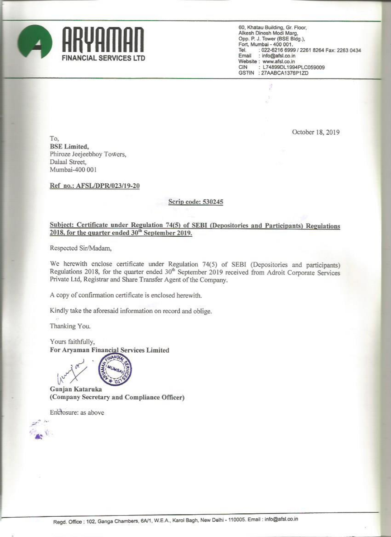

60, Khatau Building, Gr. Floor, Alkesh Dinesh Modi Marg,<br>Opp. P. J. Tower (BSE Bldg.), Fort, Mumbai - 400 001. : 022-6216 6999 / 2261 8264 Fax: 2263 0434 Tel. : info@afsl.co.in Email Website: www.afsl.co.in : L74899DL1994PLC059009 CIN GSTIN : 27AABCA1376P1ZD

October 18, 2019

To. **BSE** Limited, Phiroze Jeejeebhoy Towers, Dalaal Street, Mumbai-400 001

Ref no.: AFSL/DPR/023/19-20

#### Scrip code: 530245

#### Subject: Certificate under Regulation 74(5) of SEBI (Depositories and Participants) Regulations 2018, for the quarter ended 30<sup>th</sup> September 2019.

Respected Sir/Madam,

We herewith enclose certificate under Regulation 74(5) of SEBI (Depositories and participants) Regulations 2018, for the quarter ended 30<sup>th</sup> September 2019 received from Adroit Corporate Services Private Ltd, Registrar and Share Transfer Agent of the Company.

A copy of confirmation certificate is enclosed herewith.

Kindly take the aforesaid information on record and oblige.

Thanking You.

Yours faithfully, For Aryaman Financial Services Limited



Gunjan Kataruka (Company Secretary and Compliance Officer)

Encrosure: as above